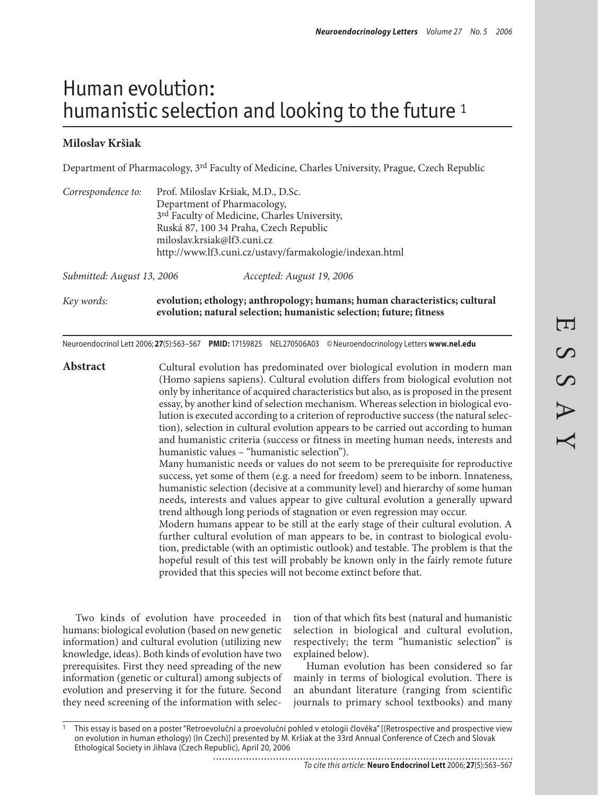# Human evolution: humanistic selection and looking to the future<sup>1</sup>

## **Miloslav Kršiak**

Department of Pharmacology, 3rd Faculty of Medicine, Charles University, Prague, Czech Republic

| Correspondence to:         | Prof. Miloslav Kršiak, M.D., D.Sc.<br>Department of Pharmacology,          |  |
|----------------------------|----------------------------------------------------------------------------|--|
|                            | 3rd Faculty of Medicine, Charles University,                               |  |
|                            | Ruská 87, 100 34 Praha, Czech Republic<br>miloslav.krsiak@lf3.cuni.cz      |  |
|                            | http://www.lf3.cuni.cz/ustavy/farmakologie/indexan.html                    |  |
| Submitted: August 13, 2006 | Accepted: August 19, 2006                                                  |  |
| Key words:                 | evolution; ethology; anthropology; humans; human characteristics; cultural |  |

Neuroendocrinol Lett 2006; **27**(5):563–567 **PMID:** 17159825 NEL270506A03 ©Neuroendocrinology Letters **www.nel.edu**

Abstract Cultural evolution has predominated over biological evolution in modern man (Homo sapiens sapiens). Cultural evolution differs from biological evolution not only by inheritance of acquired characteristics but also, as is proposed in the present essay, by another kind of selection mechanism. Whereas selection in biological evolution is executed according to a criterion of reproductive success (the natural selection), selection in cultural evolution appears to be carried out according to human and humanistic criteria (success or fitness in meeting human needs, interests and humanistic values – "humanistic selection"). Many humanistic needs or values do not seem to be prerequisite for reproductive

**evolution; natural selection; humanistic selection; future; fitness**

success, yet some of them (e.g. a need for freedom) seem to be inborn. Innateness, humanistic selection (decisive at a community level) and hierarchy of some human needs, interests and values appear to give cultural evolution a generally upward trend although long periods of stagnation or even regression may occur.

Modern humans appear to be still at the early stage of their cultural evolution. A further cultural evolution of man appears to be, in contrast to biological evolution, predictable (with an optimistic outlook) and testable. The problem is that the hopeful result of this test will probably be known only in the fairly remote future provided that this species will not become extinct before that.

Two kinds of evolution have proceeded in humans: biological evolution (based on new genetic information) and cultural evolution (utilizing new knowledge, ideas). Both kinds of evolution have two prerequisites. First they need spreading of the new information (genetic or cultural) among subjects of evolution and preserving it for the future. Second they need screening of the information with selection of that which fits best (natural and humanistic selection in biological and cultural evolution, respectively; the term "humanistic selection" is explained below).

Human evolution has been considered so far mainly in terms of biological evolution. There is an abundant literature (ranging from scientific journals to primary school textbooks) and many

<sup>1</sup> This essay is based on a poster "Retroevoluční a proevoluční pohled v etologii člověka" [(Retrospective and prospective view on evolution in human ethology) (In Czech)] presented by M. Kršiak at the 33rd Annual Conference of Czech and Slovak Ethological Society in Jihlava (Czech Republic), April 20, 2006..........................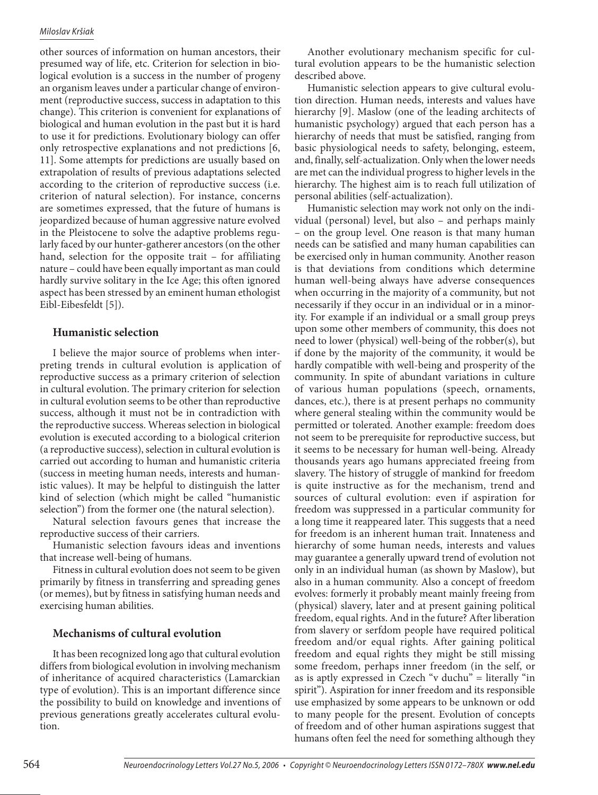#### *Miloslav Kršiak*

other sources of information on human ancestors, their presumed way of life, etc. Criterion for selection in biological evolution is a success in the number of progeny an organism leaves under a particular change of environment (reproductive success, success in adaptation to this change). This criterion is convenient for explanations of biological and human evolution in the past but it is hard to use it for predictions. Evolutionary biology can offer only retrospective explanations and not predictions [6, 11]. Some attempts for predictions are usually based on extrapolation of results of previous adaptations selected according to the criterion of reproductive success (i.e. criterion of natural selection). For instance, concerns are sometimes expressed, that the future of humans is jeopardized because of human aggressive nature evolved in the Pleistocene to solve the adaptive problems regularly faced by our hunter-gatherer ancestors (on the other hand, selection for the opposite trait – for affiliating nature – could have been equally important as man could hardly survive solitary in the Ice Age; this often ignored aspect has been stressed by an eminent human ethologist Eibl-Eibesfeldt [5]).

## **Humanistic selection**

I believe the major source of problems when interpreting trends in cultural evolution is application of reproductive success as a primary criterion of selection in cultural evolution. The primary criterion for selection in cultural evolution seems to be other than reproductive success, although it must not be in contradiction with the reproductive success. Whereas selection in biological evolution is executed according to a biological criterion (a reproductive success), selection in cultural evolution is carried out according to human and humanistic criteria (success in meeting human needs, interests and humanistic values). It may be helpful to distinguish the latter kind of selection (which might be called "humanistic selection") from the former one (the natural selection).

Natural selection favours genes that increase the reproductive success of their carriers.

Humanistic selection favours ideas and inventions that increase well-being of humans.

Fitness in cultural evolution does not seem to be given primarily by fitness in transferring and spreading genes (or memes), but by fitness in satisfying human needs and exercising human abilities.

## **Mechanisms of cultural evolution**

It has been recognized long ago that cultural evolution differs from biological evolution in involving mechanism of inheritance of acquired characteristics (Lamarckian type of evolution). This is an important difference since the possibility to build on knowledge and inventions of previous generations greatly accelerates cultural evolution.

Another evolutionary mechanism specific for cultural evolution appears to be the humanistic selection described above.

Humanistic selection appears to give cultural evolution direction. Human needs, interests and values have hierarchy [9]. Maslow (one of the leading architects of humanistic psychology) argued that each person has a hierarchy of needs that must be satisfied, ranging from basic physiological needs to safety, belonging, esteem, and, finally, self-actualization. Only when the lower needs are met can the individual progress to higher levels in the hierarchy. The highest aim is to reach full utilization of personal abilities (self-actualization).

Humanistic selection may work not only on the individual (personal) level, but also – and perhaps mainly – on the group level. One reason is that many human needs can be satisfied and many human capabilities can be exercised only in human community. Another reason is that deviations from conditions which determine human well-being always have adverse consequences when occurring in the majority of a community, but not necessarily if they occur in an individual or in a minority. For example if an individual or a small group preys upon some other members of community, this does not need to lower (physical) well-being of the robber(s), but if done by the majority of the community, it would be hardly compatible with well-being and prosperity of the community. In spite of abundant variations in culture of various human populations (speech, ornaments, dances, etc.), there is at present perhaps no community where general stealing within the community would be permitted or tolerated. Another example: freedom does not seem to be prerequisite for reproductive success, but it seems to be necessary for human well-being. Already thousands years ago humans appreciated freeing from slavery. The history of struggle of mankind for freedom is quite instructive as for the mechanism, trend and sources of cultural evolution: even if aspiration for freedom was suppressed in a particular community for a long time it reappeared later. This suggests that a need for freedom is an inherent human trait. Innateness and hierarchy of some human needs, interests and values may guarantee a generally upward trend of evolution not only in an individual human (as shown by Maslow), but also in a human community. Also a concept of freedom evolves: formerly it probably meant mainly freeing from (physical) slavery, later and at present gaining political freedom, equal rights. And in the future? After liberation from slavery or serfdom people have required political freedom and/or equal rights. After gaining political freedom and equal rights they might be still missing some freedom, perhaps inner freedom (in the self, or as is aptly expressed in Czech "v duchu" = literally "in spirit"). Aspiration for inner freedom and its responsible use emphasized by some appears to be unknown or odd to many people for the present. Evolution of concepts of freedom and of other human aspirations suggest that humans often feel the need for something although they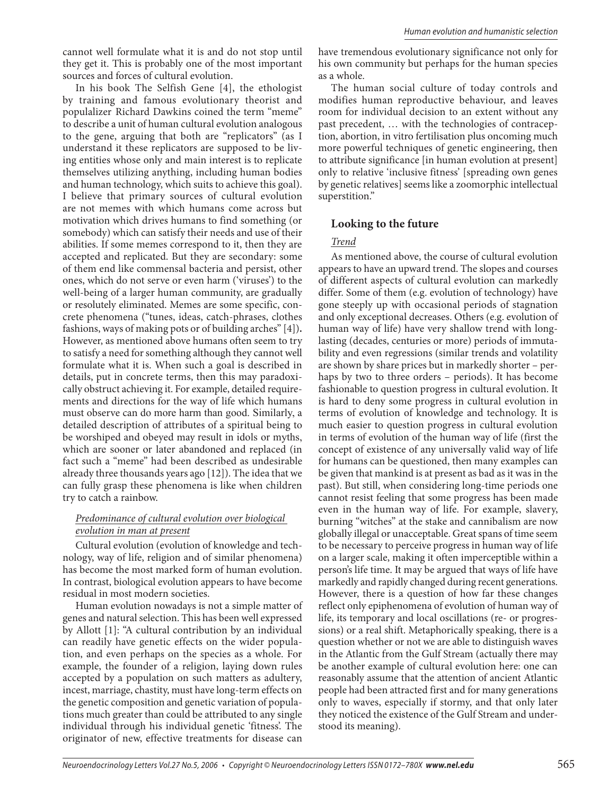cannot well formulate what it is and do not stop until they get it. This is probably one of the most important sources and forces of cultural evolution.

In his book The Selfish Gene [4], the ethologist by training and famous evolutionary theorist and populalizer Richard Dawkins coined the term "meme" to describe a unit of human cultural evolution analogous to the gene, arguing that both are "replicators" (as I understand it these replicators are supposed to be living entities whose only and main interest is to replicate themselves utilizing anything, including human bodies and human technology, which suits to achieve this goal). I believe that primary sources of cultural evolution are not memes with which humans come across but motivation which drives humans to find something (or somebody) which can satisfy their needs and use of their abilities. If some memes correspond to it, then they are accepted and replicated. But they are secondary: some of them end like commensal bacteria and persist, other ones, which do not serve or even harm ('viruses') to the well-being of a larger human community, are gradually or resolutely eliminated. Memes are some specific, concrete phenomena ("tunes, ideas, catch-phrases, clothes fashions, ways of making pots or of building arches" [4])**.** However, as mentioned above humans often seem to try to satisfy a need for something although they cannot well formulate what it is. When such a goal is described in details, put in concrete terms, then this may paradoxically obstruct achieving it. For example, detailed requirements and directions for the way of life which humans must observe can do more harm than good. Similarly, a detailed description of attributes of a spiritual being to be worshiped and obeyed may result in idols or myths, which are sooner or later abandoned and replaced (in fact such a "meme" had been described as undesirable already three thousands years ago [12]). The idea that we can fully grasp these phenomena is like when children try to catch a rainbow.

#### *Predominance of cultural evolution over biological evolution in man at present*

Cultural evolution (evolution of knowledge and technology, way of life, religion and of similar phenomena) has become the most marked form of human evolution. In contrast, biological evolution appears to have become residual in most modern societies.

Human evolution nowadays is not a simple matter of genes and natural selection. This has been well expressed by Allott [1]: "A cultural contribution by an individual can readily have genetic effects on the wider population, and even perhaps on the species as a whole. For example, the founder of a religion, laying down rules accepted by a population on such matters as adultery, incest, marriage, chastity, must have long-term effects on the genetic composition and genetic variation of populations much greater than could be attributed to any single individual through his individual genetic 'fitness'. The originator of new, effective treatments for disease can

have tremendous evolutionary significance not only for his own community but perhaps for the human species as a whole.

The human social culture of today controls and modifies human reproductive behaviour, and leaves room for individual decision to an extent without any past precedent, … with the technologies of contraception, abortion, in vitro fertilisation plus oncoming much more powerful techniques of genetic engineering, then to attribute significance [in human evolution at present] only to relative 'inclusive fitness' [spreading own genes by genetic relatives] seems like a zoomorphic intellectual superstition."

#### **Looking to the future**

#### *Trend*

As mentioned above, the course of cultural evolution appears to have an upward trend. The slopes and courses of different aspects of cultural evolution can markedly differ. Some of them (e.g. evolution of technology) have gone steeply up with occasional periods of stagnation and only exceptional decreases. Others (e.g. evolution of human way of life) have very shallow trend with longlasting (decades, centuries or more) periods of immutability and even regressions (similar trends and volatility are shown by share prices but in markedly shorter – perhaps by two to three orders – periods). It has become fashionable to question progress in cultural evolution. It is hard to deny some progress in cultural evolution in terms of evolution of knowledge and technology. It is much easier to question progress in cultural evolution in terms of evolution of the human way of life (first the concept of existence of any universally valid way of life for humans can be questioned, then many examples can be given that mankind is at present as bad as it was in the past). But still, when considering long-time periods one cannot resist feeling that some progress has been made even in the human way of life. For example, slavery, burning "witches" at the stake and cannibalism are now globally illegal or unacceptable. Great spans of time seem to be necessary to perceive progress in human way of life on a larger scale, making it often imperceptible within a person's life time. It may be argued that ways of life have markedly and rapidly changed during recent generations. However, there is a question of how far these changes reflect only epiphenomena of evolution of human way of life, its temporary and local oscillations (re- or progressions) or a real shift. Metaphorically speaking, there is a question whether or not we are able to distinguish waves in the Atlantic from the Gulf Stream (actually there may be another example of cultural evolution here: one can reasonably assume that the attention of ancient Atlantic people had been attracted first and for many generations only to waves, especially if stormy, and that only later they noticed the existence of the Gulf Stream and understood its meaning).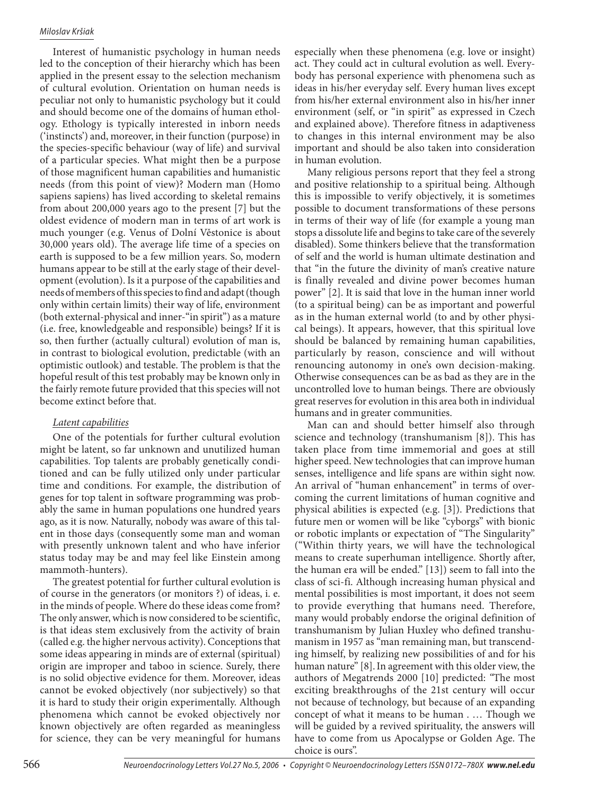Interest of humanistic psychology in human needs led to the conception of their hierarchy which has been applied in the present essay to the selection mechanism of cultural evolution. Orientation on human needs is peculiar not only to humanistic psychology but it could and should become one of the domains of human ethology. Ethology is typically interested in inborn needs ('instincts') and, moreover, in their function (purpose) in the species-specific behaviour (way of life) and survival of a particular species. What might then be a purpose of those magnificent human capabilities and humanistic needs (from this point of view)? Modern man (Homo sapiens sapiens) has lived according to skeletal remains from about 200,000 years ago to the present [7] but the oldest evidence of modern man in terms of art work is much younger (e.g. Venus of Dolní Věstonice is about 30,000 years old). The average life time of a species on earth is supposed to be a few million years. So, modern humans appear to be still at the early stage of their development (evolution). Is it a purpose of the capabilities and needs of members of this species to find and adapt (though only within certain limits) their way of life, environment (both external-physical and inner-"in spirit") as a mature (i.e. free, knowledgeable and responsible) beings? If it is so, then further (actually cultural) evolution of man is, in contrast to biological evolution, predictable (with an optimistic outlook) and testable. The problem is that the hopeful result of this test probably may be known only in the fairly remote future provided that this species will not become extinct before that.

## *Latent capabilities*

One of the potentials for further cultural evolution might be latent, so far unknown and unutilized human capabilities. Top talents are probably genetically conditioned and can be fully utilized only under particular time and conditions. For example, the distribution of genes for top talent in software programming was probably the same in human populations one hundred years ago, as it is now. Naturally, nobody was aware of this talent in those days (consequently some man and woman with presently unknown talent and who have inferior status today may be and may feel like Einstein among mammoth-hunters).

The greatest potential for further cultural evolution is of course in the generators (or monitors ?) of ideas, i. e. in the minds of people. Where do these ideas come from? The only answer, which is now considered to be scientific, is that ideas stem exclusively from the activity of brain (called e.g. the higher nervous activity). Conceptions that some ideas appearing in minds are of external (spiritual) origin are improper and taboo in science. Surely, there is no solid objective evidence for them. Moreover, ideas cannot be evoked objectively (nor subjectively) so that it is hard to study their origin experimentally. Although phenomena which cannot be evoked objectively nor known objectively are often regarded as meaningless for science, they can be very meaningful for humans especially when these phenomena (e.g. love or insight) act. They could act in cultural evolution as well. Everybody has personal experience with phenomena such as ideas in his/her everyday self. Every human lives except from his/her external environment also in his/her inner environment (self, or "in spirit" as expressed in Czech and explained above). Therefore fitness in adaptiveness to changes in this internal environment may be also important and should be also taken into consideration in human evolution.

Many religious persons report that they feel a strong and positive relationship to a spiritual being. Although this is impossible to verify objectively, it is sometimes possible to document transformations of these persons in terms of their way of life (for example a young man stops a dissolute life and begins to take care of the severely disabled). Some thinkers believe that the transformation of self and the world is human ultimate destination and that "in the future the divinity of man's creative nature is finally revealed and divine power becomes human power" [2]. It is said that love in the human inner world (to a spiritual being) can be as important and powerful as in the human external world (to and by other physical beings). It appears, however, that this spiritual love should be balanced by remaining human capabilities, particularly by reason, conscience and will without renouncing autonomy in one's own decision-making. Otherwise consequences can be as bad as they are in the uncontrolled love to human beings. There are obviously great reserves for evolution in this area both in individual humans and in greater communities.

Man can and should better himself also through science and technology (transhumanism [8]). This has taken place from time immemorial and goes at still higher speed. New technologies that can improve human senses, intelligence and life spans are within sight now. An arrival of "human enhancement" in terms of overcoming the current limitations of human cognitive and physical abilities is expected (e.g. [3]). Predictions that future men or women will be like "cyborgs" with bionic or robotic implants or expectation of "The Singularity" ("Within thirty years, we will have the technological means to create superhuman intelligence. Shortly after, the human era will be ended." [13]) seem to fall into the class of sci-fi. Although increasing human physical and mental possibilities is most important, it does not seem to provide everything that humans need. Therefore, many would probably endorse the original definition of transhumanism by Julian Huxley who defined transhumanism in 1957 as "man remaining man, but transcending himself, by realizing new possibilities of and for his human nature" [8]. In agreement with this older view, the authors of Megatrends 2000 [10] predicted: *"*The most exciting breakthroughs of the 21st century will occur not because of technology, but because of an expanding concept of what it means to be human . … Though we will be guided by a revived spirituality, the answers will have to come from us Apocalypse or Golden Age. The choice is ours".